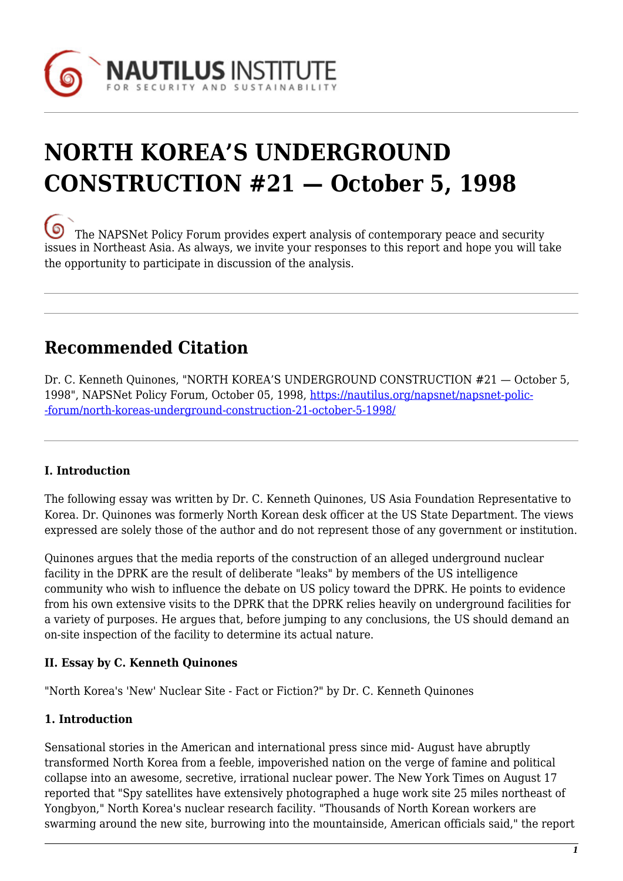

# **NORTH KOREA'S UNDERGROUND CONSTRUCTION #21 — October 5, 1998**

[T](https://nautilus.org/wp-content/uploads/2013/05/nautilus-logo-small.png)he NAPSNet Policy Forum provides expert analysis of contemporary peace and security issues in Northeast Asia. As always, we invite your responses to this report and hope you will take the opportunity to participate in discussion of the analysis.

# **Recommended Citation**

Dr. C. Kenneth Quinones, "NORTH KOREA'S UNDERGROUND CONSTRUCTION #21 — October 5, 1998", NAPSNet Policy Forum, October 05, 1998, [https://nautilus.org/napsnet/napsnet-polic-](https://nautilus.org/napsnet/napsnet-policy-forum/north-koreas-underground-construction-21-october-5-1998/) [-forum/north-koreas-underground-construction-21-october-5-1998/](https://nautilus.org/napsnet/napsnet-policy-forum/north-koreas-underground-construction-21-october-5-1998/)

# **I. Introduction**

The following essay was written by Dr. C. Kenneth Quinones, US Asia Foundation Representative to Korea. Dr. Quinones was formerly North Korean desk officer at the US State Department. The views expressed are solely those of the author and do not represent those of any government or institution.

Quinones argues that the media reports of the construction of an alleged underground nuclear facility in the DPRK are the result of deliberate "leaks" by members of the US intelligence community who wish to influence the debate on US policy toward the DPRK. He points to evidence from his own extensive visits to the DPRK that the DPRK relies heavily on underground facilities for a variety of purposes. He argues that, before jumping to any conclusions, the US should demand an on-site inspection of the facility to determine its actual nature.

#### **II. Essay by C. Kenneth Quinones**

"North Korea's 'New' Nuclear Site - Fact or Fiction?" by Dr. C. Kenneth Quinones

#### **1. Introduction**

Sensational stories in the American and international press since mid- August have abruptly transformed North Korea from a feeble, impoverished nation on the verge of famine and political collapse into an awesome, secretive, irrational nuclear power. The New York Times on August 17 reported that "Spy satellites have extensively photographed a huge work site 25 miles northeast of Yongbyon," North Korea's nuclear research facility. "Thousands of North Korean workers are swarming around the new site, burrowing into the mountainside, American officials said," the report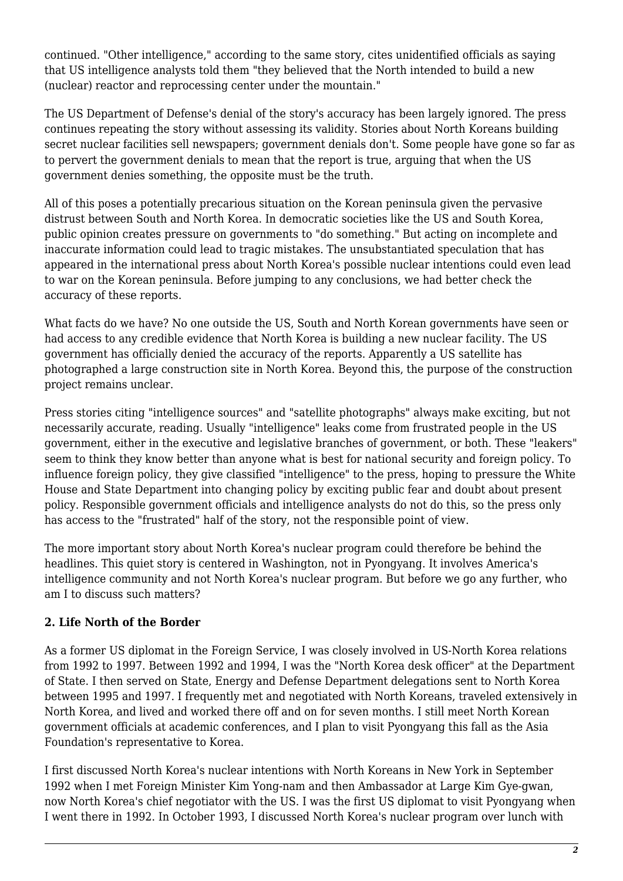continued. "Other intelligence," according to the same story, cites unidentified officials as saying that US intelligence analysts told them "they believed that the North intended to build a new (nuclear) reactor and reprocessing center under the mountain."

The US Department of Defense's denial of the story's accuracy has been largely ignored. The press continues repeating the story without assessing its validity. Stories about North Koreans building secret nuclear facilities sell newspapers; government denials don't. Some people have gone so far as to pervert the government denials to mean that the report is true, arguing that when the US government denies something, the opposite must be the truth.

All of this poses a potentially precarious situation on the Korean peninsula given the pervasive distrust between South and North Korea. In democratic societies like the US and South Korea, public opinion creates pressure on governments to "do something." But acting on incomplete and inaccurate information could lead to tragic mistakes. The unsubstantiated speculation that has appeared in the international press about North Korea's possible nuclear intentions could even lead to war on the Korean peninsula. Before jumping to any conclusions, we had better check the accuracy of these reports.

What facts do we have? No one outside the US, South and North Korean governments have seen or had access to any credible evidence that North Korea is building a new nuclear facility. The US government has officially denied the accuracy of the reports. Apparently a US satellite has photographed a large construction site in North Korea. Beyond this, the purpose of the construction project remains unclear.

Press stories citing "intelligence sources" and "satellite photographs" always make exciting, but not necessarily accurate, reading. Usually "intelligence" leaks come from frustrated people in the US government, either in the executive and legislative branches of government, or both. These "leakers" seem to think they know better than anyone what is best for national security and foreign policy. To influence foreign policy, they give classified "intelligence" to the press, hoping to pressure the White House and State Department into changing policy by exciting public fear and doubt about present policy. Responsible government officials and intelligence analysts do not do this, so the press only has access to the "frustrated" half of the story, not the responsible point of view.

The more important story about North Korea's nuclear program could therefore be behind the headlines. This quiet story is centered in Washington, not in Pyongyang. It involves America's intelligence community and not North Korea's nuclear program. But before we go any further, who am I to discuss such matters?

# **2. Life North of the Border**

As a former US diplomat in the Foreign Service, I was closely involved in US-North Korea relations from 1992 to 1997. Between 1992 and 1994, I was the "North Korea desk officer" at the Department of State. I then served on State, Energy and Defense Department delegations sent to North Korea between 1995 and 1997. I frequently met and negotiated with North Koreans, traveled extensively in North Korea, and lived and worked there off and on for seven months. I still meet North Korean government officials at academic conferences, and I plan to visit Pyongyang this fall as the Asia Foundation's representative to Korea.

I first discussed North Korea's nuclear intentions with North Koreans in New York in September 1992 when I met Foreign Minister Kim Yong-nam and then Ambassador at Large Kim Gye-gwan, now North Korea's chief negotiator with the US. I was the first US diplomat to visit Pyongyang when I went there in 1992. In October 1993, I discussed North Korea's nuclear program over lunch with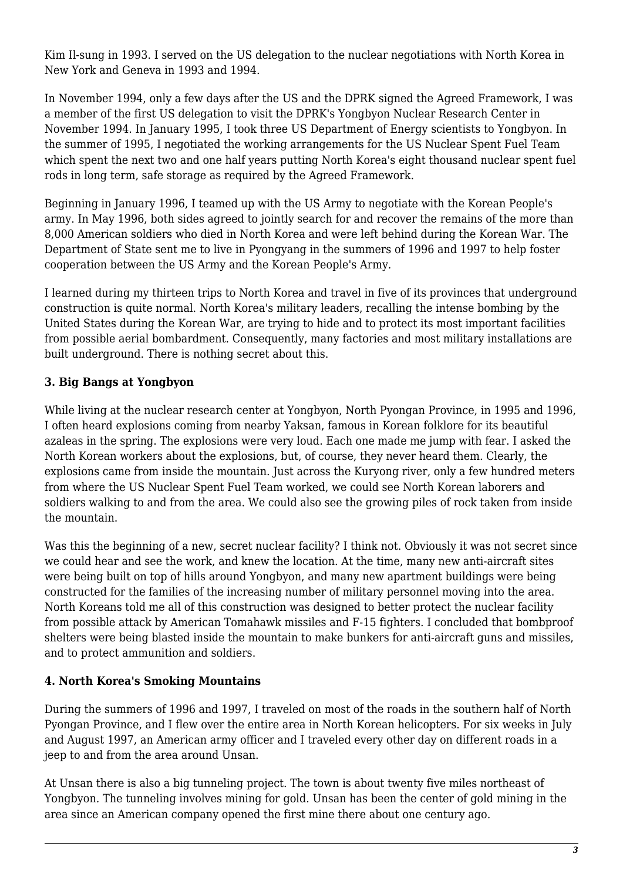Kim Il-sung in 1993. I served on the US delegation to the nuclear negotiations with North Korea in New York and Geneva in 1993 and 1994.

In November 1994, only a few days after the US and the DPRK signed the Agreed Framework, I was a member of the first US delegation to visit the DPRK's Yongbyon Nuclear Research Center in November 1994. In January 1995, I took three US Department of Energy scientists to Yongbyon. In the summer of 1995, I negotiated the working arrangements for the US Nuclear Spent Fuel Team which spent the next two and one half years putting North Korea's eight thousand nuclear spent fuel rods in long term, safe storage as required by the Agreed Framework.

Beginning in January 1996, I teamed up with the US Army to negotiate with the Korean People's army. In May 1996, both sides agreed to jointly search for and recover the remains of the more than 8,000 American soldiers who died in North Korea and were left behind during the Korean War. The Department of State sent me to live in Pyongyang in the summers of 1996 and 1997 to help foster cooperation between the US Army and the Korean People's Army.

I learned during my thirteen trips to North Korea and travel in five of its provinces that underground construction is quite normal. North Korea's military leaders, recalling the intense bombing by the United States during the Korean War, are trying to hide and to protect its most important facilities from possible aerial bombardment. Consequently, many factories and most military installations are built underground. There is nothing secret about this.

# **3. Big Bangs at Yongbyon**

While living at the nuclear research center at Yongbyon, North Pyongan Province, in 1995 and 1996, I often heard explosions coming from nearby Yaksan, famous in Korean folklore for its beautiful azaleas in the spring. The explosions were very loud. Each one made me jump with fear. I asked the North Korean workers about the explosions, but, of course, they never heard them. Clearly, the explosions came from inside the mountain. Just across the Kuryong river, only a few hundred meters from where the US Nuclear Spent Fuel Team worked, we could see North Korean laborers and soldiers walking to and from the area. We could also see the growing piles of rock taken from inside the mountain.

Was this the beginning of a new, secret nuclear facility? I think not. Obviously it was not secret since we could hear and see the work, and knew the location. At the time, many new anti-aircraft sites were being built on top of hills around Yongbyon, and many new apartment buildings were being constructed for the families of the increasing number of military personnel moving into the area. North Koreans told me all of this construction was designed to better protect the nuclear facility from possible attack by American Tomahawk missiles and F-15 fighters. I concluded that bombproof shelters were being blasted inside the mountain to make bunkers for anti-aircraft guns and missiles, and to protect ammunition and soldiers.

# **4. North Korea's Smoking Mountains**

During the summers of 1996 and 1997, I traveled on most of the roads in the southern half of North Pyongan Province, and I flew over the entire area in North Korean helicopters. For six weeks in July and August 1997, an American army officer and I traveled every other day on different roads in a jeep to and from the area around Unsan.

At Unsan there is also a big tunneling project. The town is about twenty five miles northeast of Yongbyon. The tunneling involves mining for gold. Unsan has been the center of gold mining in the area since an American company opened the first mine there about one century ago.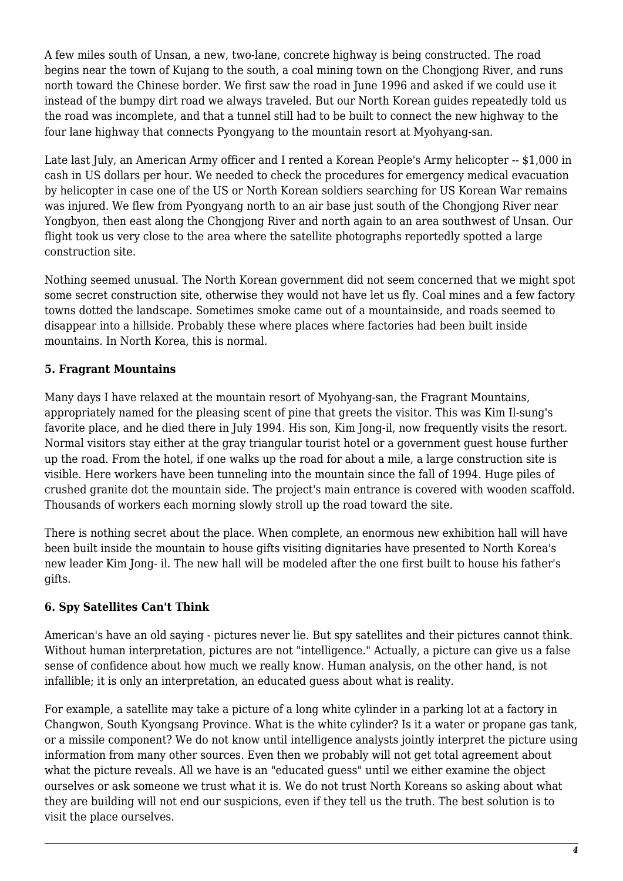A few miles south of Unsan, a new, two-lane, concrete highway is being constructed. The road begins near the town of Kujang to the south, a coal mining town on the Chongjong River, and runs north toward the Chinese border. We first saw the road in June 1996 and asked if we could use it instead of the bumpy dirt road we always traveled. But our North Korean guides repeatedly told us the road was incomplete, and that a tunnel still had to be built to connect the new highway to the four lane highway that connects Pyongyang to the mountain resort at Myohyang-san.

Late last July, an American Army officer and I rented a Korean People's Army helicopter -- \$1,000 in cash in US dollars per hour. We needed to check the procedures for emergency medical evacuation by helicopter in case one of the US or North Korean soldiers searching for US Korean War remains was injured. We flew from Pyongyang north to an air base just south of the Chongjong River near Yongbyon, then east along the Chongjong River and north again to an area southwest of Unsan. Our flight took us very close to the area where the satellite photographs reportedly spotted a large construction site.

Nothing seemed unusual. The North Korean government did not seem concerned that we might spot some secret construction site, otherwise they would not have let us fly. Coal mines and a few factory towns dotted the landscape. Sometimes smoke came out of a mountainside, and roads seemed to disappear into a hillside. Probably these where places where factories had been built inside mountains. In North Korea, this is normal.

# **5. Fragrant Mountains**

Many days I have relaxed at the mountain resort of Myohyang-san, the Fragrant Mountains, appropriately named for the pleasing scent of pine that greets the visitor. This was Kim Il-sung's favorite place, and he died there in July 1994. His son, Kim Jong-il, now frequently visits the resort. Normal visitors stay either at the gray triangular tourist hotel or a government guest house further up the road. From the hotel, if one walks up the road for about a mile, a large construction site is visible. Here workers have been tunneling into the mountain since the fall of 1994. Huge piles of crushed granite dot the mountain side. The project's main entrance is covered with wooden scaffold. Thousands of workers each morning slowly stroll up the road toward the site.

There is nothing secret about the place. When complete, an enormous new exhibition hall will have been built inside the mountain to house gifts visiting dignitaries have presented to North Korea's new leader Kim Jong- il. The new hall will be modeled after the one first built to house his father's gifts.

# **6. Spy Satellites Can't Think**

American's have an old saying - pictures never lie. But spy satellites and their pictures cannot think. Without human interpretation, pictures are not "intelligence." Actually, a picture can give us a false sense of confidence about how much we really know. Human analysis, on the other hand, is not infallible; it is only an interpretation, an educated guess about what is reality.

For example, a satellite may take a picture of a long white cylinder in a parking lot at a factory in Changwon, South Kyongsang Province. What is the white cylinder? Is it a water or propane gas tank, or a missile component? We do not know until intelligence analysts jointly interpret the picture using information from many other sources. Even then we probably will not get total agreement about what the picture reveals. All we have is an "educated guess" until we either examine the object ourselves or ask someone we trust what it is. We do not trust North Koreans so asking about what they are building will not end our suspicions, even if they tell us the truth. The best solution is to visit the place ourselves.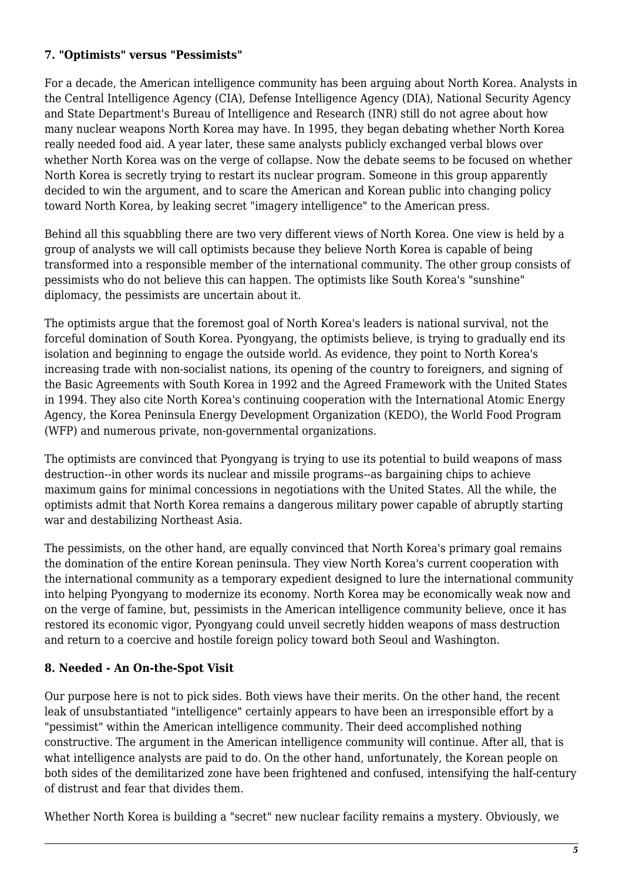#### **7. "Optimists" versus "Pessimists"**

For a decade, the American intelligence community has been arguing about North Korea. Analysts in the Central Intelligence Agency (CIA), Defense Intelligence Agency (DIA), National Security Agency and State Department's Bureau of Intelligence and Research (INR) still do not agree about how many nuclear weapons North Korea may have. In 1995, they began debating whether North Korea really needed food aid. A year later, these same analysts publicly exchanged verbal blows over whether North Korea was on the verge of collapse. Now the debate seems to be focused on whether North Korea is secretly trying to restart its nuclear program. Someone in this group apparently decided to win the argument, and to scare the American and Korean public into changing policy toward North Korea, by leaking secret "imagery intelligence" to the American press.

Behind all this squabbling there are two very different views of North Korea. One view is held by a group of analysts we will call optimists because they believe North Korea is capable of being transformed into a responsible member of the international community. The other group consists of pessimists who do not believe this can happen. The optimists like South Korea's "sunshine" diplomacy, the pessimists are uncertain about it.

The optimists argue that the foremost goal of North Korea's leaders is national survival, not the forceful domination of South Korea. Pyongyang, the optimists believe, is trying to gradually end its isolation and beginning to engage the outside world. As evidence, they point to North Korea's increasing trade with non-socialist nations, its opening of the country to foreigners, and signing of the Basic Agreements with South Korea in 1992 and the Agreed Framework with the United States in 1994. They also cite North Korea's continuing cooperation with the International Atomic Energy Agency, the Korea Peninsula Energy Development Organization (KEDO), the World Food Program (WFP) and numerous private, non-governmental organizations.

The optimists are convinced that Pyongyang is trying to use its potential to build weapons of mass destruction--in other words its nuclear and missile programs--as bargaining chips to achieve maximum gains for minimal concessions in negotiations with the United States. All the while, the optimists admit that North Korea remains a dangerous military power capable of abruptly starting war and destabilizing Northeast Asia.

The pessimists, on the other hand, are equally convinced that North Korea's primary goal remains the domination of the entire Korean peninsula. They view North Korea's current cooperation with the international community as a temporary expedient designed to lure the international community into helping Pyongyang to modernize its economy. North Korea may be economically weak now and on the verge of famine, but, pessimists in the American intelligence community believe, once it has restored its economic vigor, Pyongyang could unveil secretly hidden weapons of mass destruction and return to a coercive and hostile foreign policy toward both Seoul and Washington.

#### **8. Needed - An On-the-Spot Visit**

Our purpose here is not to pick sides. Both views have their merits. On the other hand, the recent leak of unsubstantiated "intelligence" certainly appears to have been an irresponsible effort by a "pessimist" within the American intelligence community. Their deed accomplished nothing constructive. The argument in the American intelligence community will continue. After all, that is what intelligence analysts are paid to do. On the other hand, unfortunately, the Korean people on both sides of the demilitarized zone have been frightened and confused, intensifying the half-century of distrust and fear that divides them.

Whether North Korea is building a "secret" new nuclear facility remains a mystery. Obviously, we